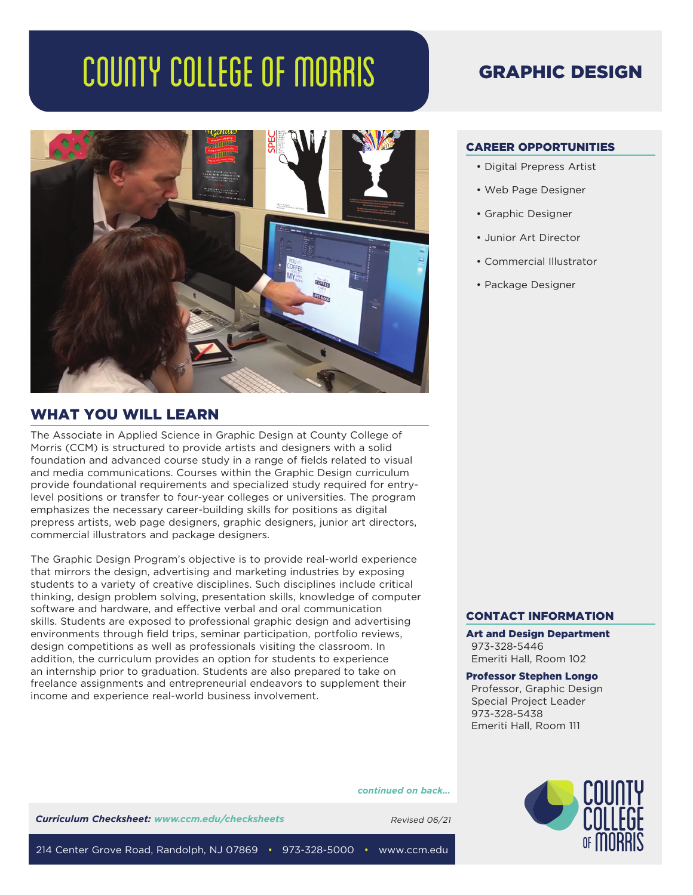# COUNTY COLLEGE OF MORRIS



## WHAT YOU WILL LEARN

The Associate in Applied Science in Graphic Design at County College of Morris (CCM) is structured to provide artists and designers with a solid foundation and advanced course study in a range of fields related to visual and media communications. Courses within the Graphic Design curriculum provide foundational requirements and specialized study required for entrylevel positions or transfer to four-year colleges or universities. The program emphasizes the necessary career-building skills for positions as digital prepress artists, web page designers, graphic designers, junior art directors, commercial illustrators and package designers.

The Graphic Design Program's objective is to provide real-world experience that mirrors the design, advertising and marketing industries by exposing students to a variety of creative disciplines. Such disciplines include critical thinking, design problem solving, presentation skills, knowledge of computer software and hardware, and effective verbal and oral communication skills. Students are exposed to professional graphic design and advertising environments through field trips, seminar participation, portfolio reviews, design competitions as well as professionals visiting the classroom. In addition, the curriculum provides an option for students to experience an internship prior to graduation. Students are also prepared to take on freelance assignments and entrepreneurial endeavors to supplement their income and experience real-world business involvement.

# GRAPHIC DESIGN

### CAREER OPPORTUNITIES

- Digital Prepress Artist
- Web Page Designer
- Graphic Designer
- Junior Art Director
- Commercial Illustrator
- Package Designer

## CONTACT INFORMATION

Art and Design Department 973-328-5446 Emeriti Hall, Room 102

#### Professor Stephen Longo

Professor, Graphic Design Special Project Leader 973-328-5438 Emeriti Hall, Room 111

*continued on back...*

**Curriculum Checksheet: www.ccm.edu/checksheets** Revised 06/21



214 Center Grove Road, Randolph, NJ 07869 • 973-328-5000 • www.ccm.edu